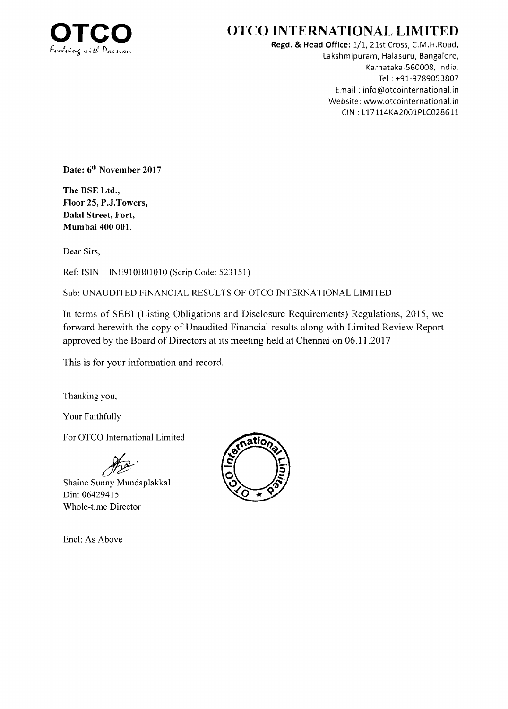

# OTCO INTERNATIONAL LIMITED

Regd. & Head Office: 1/1, 21st Cross, C.M.H.Road, Lakshmipuram, Halasuru, Bangalore, Karnataka-560008, India. Tel : +91-9789053807 Email : info@otcointernational.in Website: www.otcointernational.in CIN: L17114KA2001PLC028611

Date: 6<sup>th</sup> November 2017

The BSE Ltd., Floor 25, P.J.Towers, Dalal Street, Fort, Mumbai 400 001.

Dear Sirs,

Ref: ISIN - INE910B01010 (Scrip Code: 523151)

Sub: UNAUDITED FINANCIAL RESULTS OF OTCO INTERNATIONAL LIMITED

In terms of SEBI (Listing Obligations and Disclosure Requirements) Regulations,20l5, we forward herewith the copy of Unaudited Financial results along with Limited Review Report approved by the Board of Directors at its meeting held at Chennai on 06.11.2017

This is for your information and record.

Thanking you,

Your Faithfully

For OTCO International Limited

Shaine Sunny Mundaplakkal Din:06429415 Whole-time Director

Encl: As Above

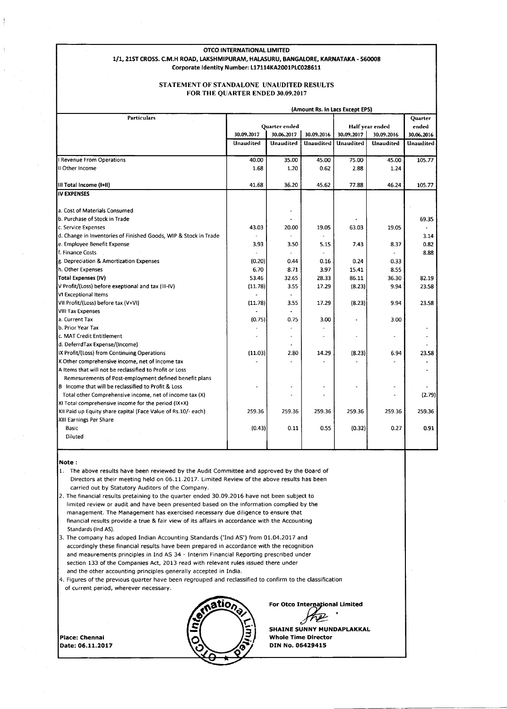#### OTCO INTERNATIONAL LIMITED 1/1, 21ST CROSS. C.M.H ROAD, LAKSHMIPURAM, HALASURU, BANGALORE, KARNATAKA - 560008

Corporate Identity Number: L17114KA2001PLC028611

#### STATEMENT OF STANDALONE UNAUDITED RESULTS FOR THE QUARTER ENDED 30.09.20I7

| (Amount Rs. In Lacs Except EPS)                                                                                   |            |                      |            |                 |            |            |
|-------------------------------------------------------------------------------------------------------------------|------------|----------------------|------------|-----------------|------------|------------|
| <b>Particulars</b>                                                                                                |            |                      |            |                 |            | Quarter    |
|                                                                                                                   |            | <b>Ouarter</b> ended |            | Half year ended |            | ended      |
|                                                                                                                   | 30.09.2017 | 30.06.2017           | 30.09.2016 | 30.09.2017      | 30.09.2016 | 30.06.2016 |
|                                                                                                                   | Unaudited  | Unaudited            | Unaudited  | Unaudited       | Unaudited  | Unaudited  |
| Revenue From Operations                                                                                           | 40.00      | 35.00                | 45.00      | 75.00           | 45.00      | 105.77     |
| II Other Income                                                                                                   | 1.68       | 1.20                 | 0.62       | 2.88            | 1.24       |            |
| III Total Income (I+II)                                                                                           | 41.68      | 36.20                | 45.62      | 77.88           | 46.24      | 105.77     |
| <b>IV EXPENSES</b>                                                                                                |            |                      |            |                 |            |            |
|                                                                                                                   |            |                      |            |                 |            |            |
| a. Cost of Materials Consumed                                                                                     |            |                      |            |                 |            |            |
| b. Purchase of Stock in Trade                                                                                     |            |                      |            |                 |            | 69.35      |
| c. Service Expenses                                                                                               | 43.03      | 20.00                | 19.05      | 63.03           | 19.05      |            |
| d. Change in Inventories of Finished Goods, WIP & Stock in Trade                                                  |            |                      |            |                 |            | 3.14       |
| e. Employee Benefit Expense                                                                                       | 3.93       | 3.50                 | 5.15       | 7.43            | 8.37       | 0.82       |
| f. Finance Costs                                                                                                  |            |                      | $\bar{a}$  |                 |            | 8.88       |
| g. Depreciation & Amortization Expenses                                                                           | (0.20)     | 0.44                 | 0.16       | 0.24            | 0.33       |            |
| h. Other Expenses                                                                                                 | 6.70       | 8.71                 | 3.97       | 15.41           | 8.55       |            |
| <b>Total Expenses (IV)</b>                                                                                        | 53.46      | 32.65                | 28.33      | 86.11           | 36.30      | 82.19      |
| V Profit/(Loss) before exeptional and tax (III-IV)                                                                | (11.78)    | 3.55                 | 17.29      | (8.23)          | 9.94       | 23.58      |
| VI Exceptional Items                                                                                              |            |                      |            |                 |            |            |
| VII Profit/(Loss) before tax (V+VI)                                                                               | (11.78)    | 3.55                 | 17.29      | (8.23)          | 9.94       | 23.58      |
| <b>VIII Tax Expenses</b>                                                                                          |            |                      |            |                 |            |            |
| a. Current Tax                                                                                                    | (0.75)     | 0.75                 | 3.00       |                 | 3.00       |            |
| b. Prior Year Tax                                                                                                 |            |                      |            |                 |            |            |
| c. MAT Credit Entitlement                                                                                         |            |                      |            |                 |            |            |
| d. DeferrdTax Expense/(Income)                                                                                    |            |                      |            |                 |            |            |
| IX Profit/(Loss) from Continuing Operations                                                                       | (11.03)    | 2.80                 | 14.29      | (8.23)          | 6.94       | 23.58      |
| X Other comprehensive income, net of income tax                                                                   |            |                      |            |                 |            |            |
| A Items that will not be reclassified to Profit or Loss<br>Remesurements of Post-employment defined benefit plans |            |                      |            |                 |            |            |
| B Income that will be reclassified to Profit & Loss                                                               |            |                      |            |                 |            |            |
| Total other Comprehensive income, net of income tax (X)                                                           |            |                      | ٠          |                 |            | (2.79)     |
| XI Total comprehensive income for the period (IX+X)                                                               |            |                      |            |                 |            |            |
| XII Paid up Equity share capital (Face Value of Rs.10/- each)                                                     | 259.36     | 259.36               | 259.36     | 259.36          | 259.36     | 259.36     |
| XIII Earnings Per Share                                                                                           |            |                      |            |                 |            |            |
| Basic                                                                                                             | (0.43)     | 0.11                 | 0.55       | (0.32)          | 0.27       | 0.91       |
| Diluted                                                                                                           |            |                      |            |                 |            |            |
|                                                                                                                   |            |                      |            |                 |            |            |

Note :

- 1. The above results have been reviewed by the Audit Committee and approved by the Board of Directors at their meeting held on 06.1 1.2017, Limited Review of the above results has been carried out by Statutory Auditors of the Company.
- 2. The financial results pretaining to the quarter ended 30.09.2016 have not been subject to limited review or audit and have been presented based on the information complied by the management. The Management has exercised necessary due diligence to ensure that financial results provide a true & fair view of its affairs in accordance with the Accounting Standards (lnd AS).
- 3. The company has adoped Indian Accounting Standards ('Ind AS') from 01.04.2017 and accordingly these financial results have been prepared in accordance with the recognition and meaurements principles in Ind AS 34 - Interim Financial Reporting prescribed under section 133 of the Companies Act, 2013 read with relevant rules issued there under and the other accounting principles generally accepted in India.
- 4. Figures of the previous quarter have been regrouped and reclassified to confirm to the classification of current period, wherever necessary.

Place: Chennai Date:05.11.2017



For Otco International Limited<br> $\overbrace{H^2}$ SHAINE SUNNY MUNDAPLAKKAL

Whote Time Director DIN No. O64294Ls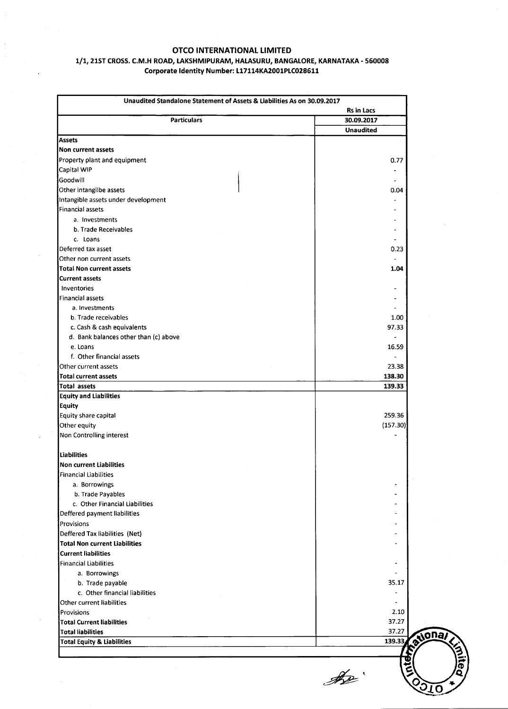### OTCO !NTERNATIONAL LIMITED

### 1/1, 21ST CROSS. C.M.H ROAD, LAKSHMIPURAM, HALASURU, BANGALORE, KARNATAKA - 560008 Corporate Identity Number: L17114KA2001PLC028611

|                                       | Rs in Lacs       |
|---------------------------------------|------------------|
| <b>Particulars</b>                    | 30.09.2017       |
|                                       | <b>Unaudited</b> |
| <b>Assets</b>                         |                  |
| Non current assets                    |                  |
| Property plant and equipment          | 0.77             |
| Capital WIP                           |                  |
| Goodwill                              |                  |
| Other intangilbe assets               | 0.04             |
| Intangible assets under development   |                  |
| <b>Financial assets</b>               |                  |
| a. Investments                        |                  |
| b. Trade Receivables                  |                  |
| c. Loans                              |                  |
| Deferred tax asset                    | 0.23             |
| Other non current assets              |                  |
| <b>Total Non current assets</b>       | 1.04             |
| <b>Current assets</b>                 |                  |
| Inventories                           |                  |
| Financial assets                      |                  |
| a. Investments                        |                  |
| b. Trade receivables                  | 1.00             |
| c. Cash & cash equivalents            | 97.33            |
| d. Bank balances other than (c) above |                  |
| e. Loans                              | 16.59            |
| f. Other financial assets             |                  |
| Other current assets                  | 23.38            |
| Total current assets                  | 138.30           |
| Total assets                          | 139.33           |
| <b>Equity and Liabilities</b>         |                  |
| <b>Equity</b>                         |                  |
| Equity share capital                  | 259.36           |
| Other equity                          | (157.30)         |
| Non Controlling interest              |                  |
| Liabilities                           |                  |
| Non current Liabilities               |                  |
| Financial Liabilities                 |                  |
| a. Borrowings                         |                  |
| b. Trade Payables                     |                  |
| c. Other Financial Liabilities        |                  |
| Deffered payment liabilities          |                  |
| Provisions                            |                  |
| Deffered Tax liabilities (Net)        |                  |
| <b>Total Non current Liabilities</b>  |                  |
| <b>Current liabilities</b>            |                  |
| <b>Financial Liabilities</b>          |                  |
| a. Borrowings                         |                  |
| b. Trade payable                      | 35.17            |
| c. Other financial liabilities        |                  |
| <b>Other current liabilities</b>      |                  |
| Provisions                            | 2.10             |
| <b>Total Current liabilities</b>      | 37.27            |
| <b>Total liabilities</b>              | 37.27            |
| <b>Total Equity &amp; Liabilities</b> | 139.33           |
|                                       |                  |

<u>I</u> K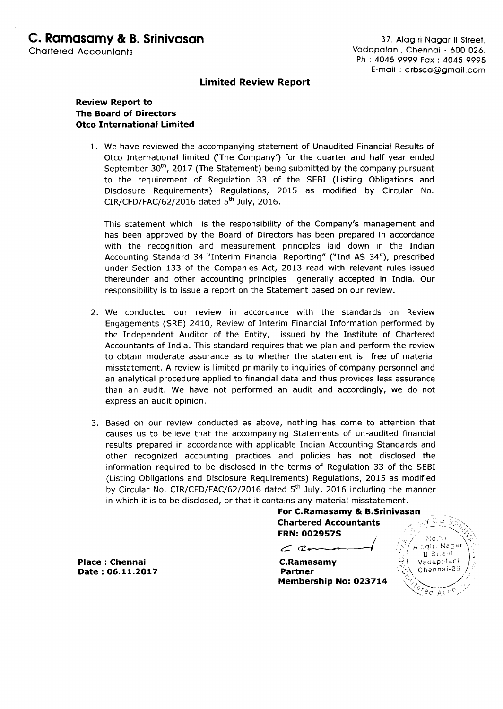# Limited Review Report

# **Review Report to** The Board of Directors Otco International Limited

1. We have reviewed the accompanying statement of Unaudited Financial Results of Otco International limited ('The Company') for the quarter and half year ended September 30<sup>th</sup>, 2017 (The Statement) being submitted by the company pursuant to the requirement of Regulation 33 of the SEBI (Listing Obligations and Disclosure Requirements) Regulations, 2Ol5 as modified by Circular No.  $CIR/CFD/FAC/62/2016$  dated  $5<sup>th</sup>$  July, 2016.

This statement which is the responsibility of the Company's management and has been approved by the Board of Directors has been prepared in accordance with the recognition and measurement principles laid down in the Indian Accounting Standard 34 "Interim Financial Reporting" ("Ind AS 34"), prescribed under Section 133 of the Companies Act, 2013 read with relevant rules issued thereunder and other accounting principles generally accepted in India. Our responsibility is to issue a report on the Statement based on our review.

- 2. We conducted our review in accordance with the standards on Review Engagements (SRE) 24tO, Review of Interim Financial Information performed by the Independent Auditor of the Entity, issued by the Institute of Chartered Accountants of India. This standard requires that we plan and perform the review to obtain moderate assurance as to whether the statement is free of material misstatement. A review is limited primarily to inquiries of company personnel and an analytical procedure applied to financial data and thus provides less assurance than an audit. We have not performed an audit and accordingly, we do not express an audit opinion.
- 3. Based on our review conducted as above, nothing has come to attention that causes us to believe that the accompanying Statements of un-audited financial results prepared in accordance with applicable Indian Accounting Standards and other recognized accounting practices and policies has not disclosed the tnformation required to be disclosed in the terms of Regulation 33 of the SEBI (Listing Obligations and Disclosure Requirements) Regulations, 2015 as modified by Circular No. CIR/CFD/FAC/62/2016 dated 5<sup>th</sup> July, 2016 including the manner in which it is to be disclosed, or that it contains any material misstatement.

For C.Ramasamy & B.Srinivasan **Chartered Accountants** FRN: OO2957S

 $\subset$   $2$ 

C.Ramasamy Partner Membership No: 023714



Place : Chennai Date: O6.LL.2OL7